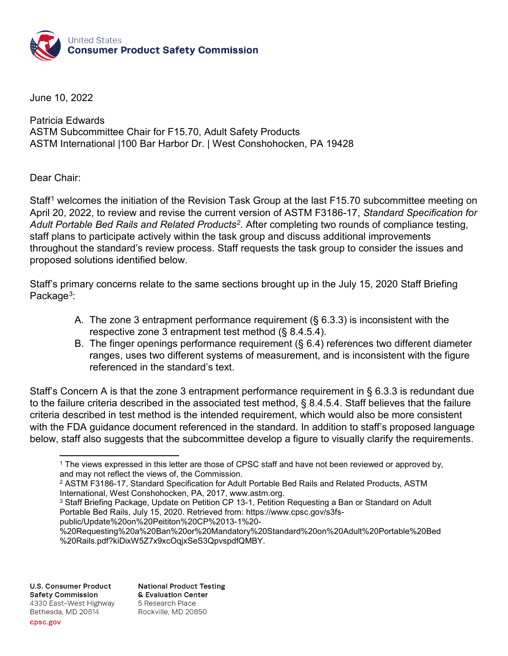

June 10, 2022

Patricia Edwards ASTM Subcommittee Chair for F15.70, Adult Safety Products ASTM International |100 Bar Harbor Dr. | West Conshohocken, PA 19428

Dear Chair:

Staff<sup>[1](#page-0-0)</sup> welcomes the initiation of the Revision Task Group at the last F15.70 subcommittee meeting on April 20, 2022, to review and revise the current version of ASTM F3186-17, *Standard Specification for Adult Portable Bed Rails and Related Products[2.](#page-0-1)* After completing two rounds of compliance testing, staff plans to participate actively within the task group and discuss additional improvements throughout the standard's review process. Staff requests the task group to consider the issues and proposed solutions identified below.

Staff's primary concerns relate to the same sections brought up in the July 15, 2020 Staff Briefing Package<sup>3</sup>:

- A. The zone 3 entrapment performance requirement (§ 6.3.3) is inconsistent with the respective zone 3 entrapment test method (§ 8.4.5.4).
- B. The finger openings performance requirement (§ 6.4) references two different diameter ranges, uses two different systems of measurement, and is inconsistent with the figure referenced in the standard's text.

Staff's Concern A is that the zone 3 entrapment performance requirement in § 6.3.3 is redundant due to the failure criteria described in the associated test method, § 8.4.5.4. Staff believes that the failure criteria described in test method is the intended requirement, which would also be more consistent with the FDA guidance document referenced in the standard. In addition to staff's proposed language below, staff also suggests that the subcommittee develop a figure to visually clarify the requirements.

public/Update%20on%20Peititon%20CP%2013-1%20-

**U.S. Consumer Product Safety Commission** 4330 East-West Highway Bethesda, MD 20814

**National Product Testing** & Evaluation Center 5 Research Place Rockville, MD 20850

<span id="page-0-0"></span><sup>&</sup>lt;sup>1</sup> The views expressed in this letter are those of CPSC staff and have not been reviewed or approved by, and may not reflect the views of, the Commission.

<span id="page-0-1"></span><sup>2</sup> ASTM F3186-17, Standard Specification for Adult Portable Bed Rails and Related Products, ASTM International, West Conshohocken, PA, 2017, www.astm.org.

<span id="page-0-2"></span><sup>&</sup>lt;sup>3</sup> Staff Briefing Package, Update on Petition CP 13-1, Petition Requesting a Ban or Standard on Adult Portable Bed Rails, July 15, 2020. Retrieved from: https://www.cpsc.gov/s3fs-

<sup>%20</sup>Requesting%20a%20Ban%20or%20Mandatory%20Standard%20on%20Adult%20Portable%20Bed %20Rails.pdf?kiDixW5Z7x9xcOqjxSeS3QpvspdfQMBY.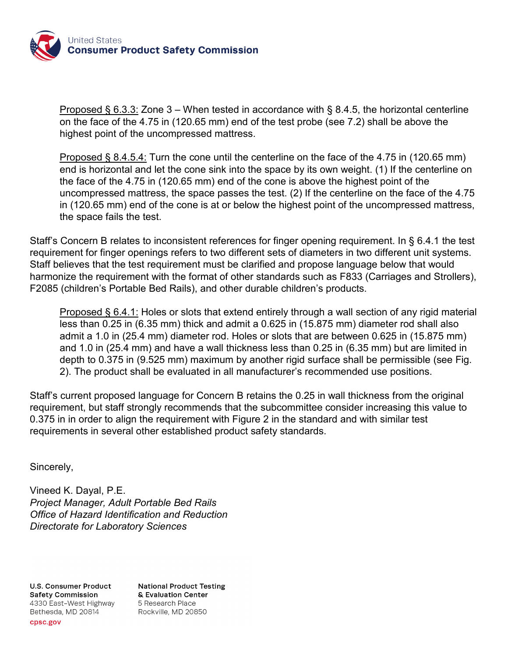

Proposed § 6.3.3: Zone 3 – When tested in accordance with § 8.4.5, the horizontal centerline on the face of the 4.75 in (120.65 mm) end of the test probe (see 7.2) shall be above the highest point of the uncompressed mattress.

Proposed § 8.4.5.4: Turn the cone until the centerline on the face of the 4.75 in (120.65 mm) end is horizontal and let the cone sink into the space by its own weight. (1) If the centerline on the face of the 4.75 in (120.65 mm) end of the cone is above the highest point of the uncompressed mattress, the space passes the test. (2) If the centerline on the face of the 4.75 in (120.65 mm) end of the cone is at or below the highest point of the uncompressed mattress, the space fails the test.

Staff's Concern B relates to inconsistent references for finger opening requirement. In § 6.4.1 the test requirement for finger openings refers to two different sets of diameters in two different unit systems. Staff believes that the test requirement must be clarified and propose language below that would harmonize the requirement with the format of other standards such as F833 (Carriages and Strollers), F2085 (children's Portable Bed Rails), and other durable children's products.

Proposed § 6.4.1: Holes or slots that extend entirely through a wall section of any rigid material less than 0.25 in (6.35 mm) thick and admit a 0.625 in (15.875 mm) diameter rod shall also admit a 1.0 in (25.4 mm) diameter rod. Holes or slots that are between 0.625 in (15.875 mm) and 1.0 in (25.4 mm) and have a wall thickness less than 0.25 in (6.35 mm) but are limited in depth to 0.375 in (9.525 mm) maximum by another rigid surface shall be permissible (see Fig. 2). The product shall be evaluated in all manufacturer's recommended use positions.

Staff's current proposed language for Concern B retains the 0.25 in wall thickness from the original requirement, but staff strongly recommends that the subcommittee consider increasing this value to 0.375 in in order to align the requirement with Figure 2 in the standard and with similar test requirements in several other established product safety standards.

Sincerely,

Vineed K. Dayal, P.E. *Project Manager, Adult Portable Bed Rails Office of Hazard Identification and Reduction Directorate for Laboratory Sciences*

**U.S. Consumer Product Safety Commission** 4330 East-West Highway Bethesda, MD 20814

**National Product Testing** & Evaluation Center 5 Research Place Rockville, MD 20850

cpsc.gov